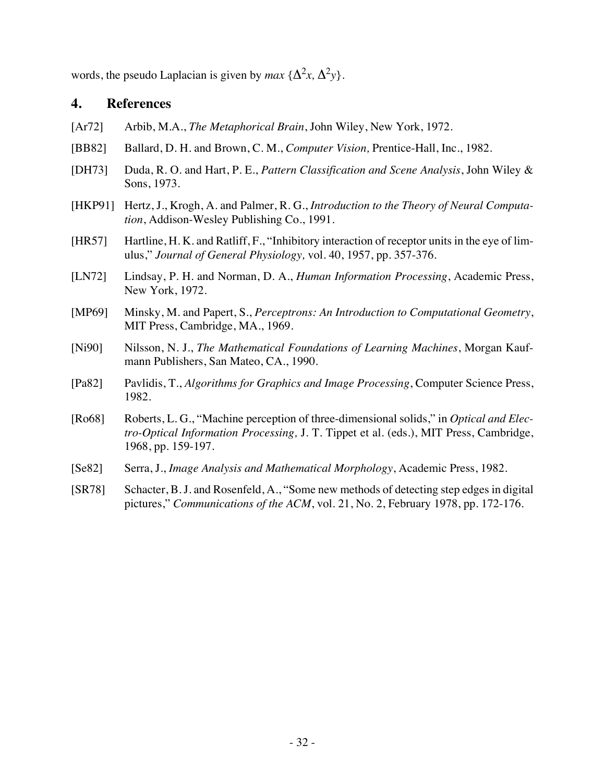words, the pseudo Laplacian is given by  $max \{ \Delta^2 x, \Delta^2 y \}.$ 

### **4. References**

- [Ar72] Arbib, M.A., *The Metaphorical Brain*, John Wiley, New York, 1972.
- [BB82] Ballard, D. H. and Brown, C. M., *Computer Vision,* Prentice-Hall, Inc., 1982.
- [DH73] Duda, R. O. and Hart, P. E., *Pattern Classification and Scene Analysis*, John Wiley & Sons, 1973.
- [HKP91] Hertz, J., Krogh, A. and Palmer, R. G., *Introduction to the Theory of Neural Computation*, Addison-Wesley Publishing Co., 1991.
- [HR57] Hartline, H. K. and Ratliff, F., "Inhibitory interaction of receptor units in the eye of limulus," *Journal of General Physiology,* vol. 40, 1957, pp. 357-376.
- [LN72] Lindsay, P. H. and Norman, D. A., *Human Information Processing*, Academic Press, New York, 1972.
- [MP69] Minsky, M. and Papert, S., *Perceptrons: An Introduction to Computational Geometry*, MIT Press, Cambridge, MA., 1969.
- [Ni90] Nilsson, N. J., *The Mathematical Foundations of Learning Machines*, Morgan Kaufmann Publishers, San Mateo, CA., 1990.
- [Pa82] Pavlidis, T., *Algorithms for Graphics and Image Processing*, Computer Science Press, 1982.
- [Ro68] Roberts, L. G., "Machine perception of three-dimensional solids," in *Optical and Electro-Optical Information Processing,* J. T. Tippet et al. (eds.), MIT Press, Cambridge, 1968, pp. 159-197.
- [Se82] Serra, J., *Image Analysis and Mathematical Morphology*, Academic Press, 1982.
- [SR78] Schacter, B. J. and Rosenfeld, A., "Some new methods of detecting step edges in digital pictures," *Communications of the ACM*, vol. 21, No. 2, February 1978, pp. 172-176.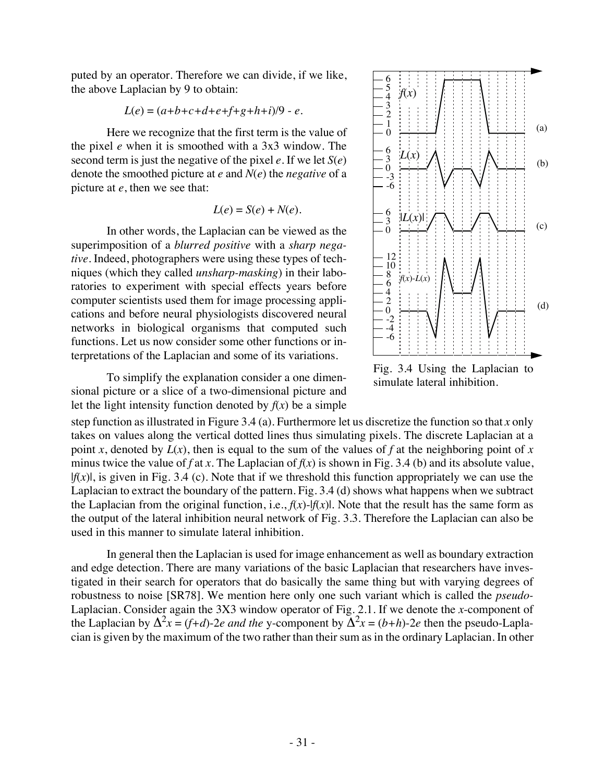puted by an operator. Therefore we can divide, if we like, the above Laplacian by 9 to obtain:

$$
L(e) = (a+b+c+d+e+f+g+h+i)/9 - e.
$$

Here we recognize that the first term is the value of the pixel *e* when it is smoothed with a 3x3 window. The second term is just the negative of the pixel *e*. If we let *S*(*e*) denote the smoothed picture at *e* and *N*(*e*) the *negative* of a picture at *e*, then we see that:

$$
L(e) = S(e) + N(e).
$$

In other words, the Laplacian can be viewed as the superimposition of a *blurred positive* with a *sharp negative*. Indeed, photographers were using these types of techniques (which they called *unsharp-masking*) in their laboratories to experiment with special effects years before computer scientists used them for image processing applications and before neural physiologists discovered neural networks in biological organisms that computed such functions. Let us now consider some other functions or interpretations of the Laplacian and some of its variations.

To simplify the explanation consider a one dimensional picture or a slice of a two-dimensional picture and let the light intensity function denoted by  $f(x)$  be a simple



Fig. 3.4 Using the Laplacian to simulate lateral inhibition.

step function as illustrated in Figure 3.4 (a). Furthermore let us discretize the function so that *x* only takes on values along the vertical dotted lines thus simulating pixels. The discrete Laplacian at a point *x*, denoted by  $L(x)$ , then is equal to the sum of the values of f at the neighboring point of *x* minus twice the value of *f* at *x*. The Laplacian of  $f(x)$  is shown in Fig. 3.4 (b) and its absolute value,  $|f(x)|$ , is given in Fig. 3.4 (c). Note that if we threshold this function appropriately we can use the Laplacian to extract the boundary of the pattern. Fig. 3.4 (d) shows what happens when we subtract the Laplacian from the original function, i.e.,  $f(x)$ - $|f(x)|$ . Note that the result has the same form as the output of the lateral inhibition neural network of Fig. 3.3. Therefore the Laplacian can also be used in this manner to simulate lateral inhibition.

In general then the Laplacian is used for image enhancement as well as boundary extraction and edge detection. There are many variations of the basic Laplacian that researchers have investigated in their search for operators that do basically the same thing but with varying degrees of robustness to noise [SR78]. We mention here only one such variant which is called the *pseudo-*Laplacian. Consider again the 3X3 window operator of Fig. 2.1. If we denote the *x*-component of the Laplacian by  $\Delta^2 x = (f+d)$ -2*e and the* y-component by  $\Delta^2 x = (b+h)$ -2*e* then the pseudo-Laplacian is given by the maximum of the two rather than their sum as in the ordinary Laplacian. In other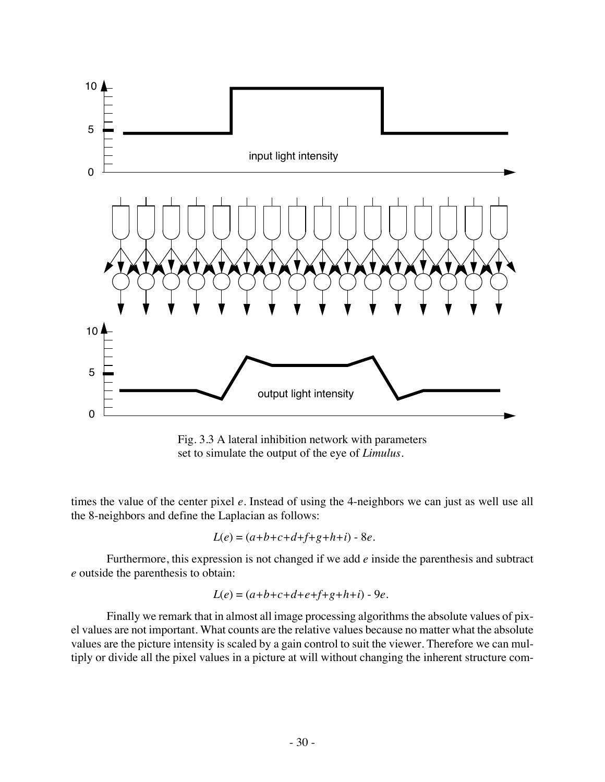

Fig. 3.3 A lateral inhibition network with parameters set to simulate the output of the eye of *Limulus.*

times the value of the center pixel *e*. Instead of using the 4-neighbors we can just as well use all the 8-neighbors and define the Laplacian as follows:

$$
L(e) = (a+b+c+d+f+g+h+i) - 8e.
$$

Furthermore, this expression is not changed if we add *e* inside the parenthesis and subtract *e* outside the parenthesis to obtain:

$$
L(e) = (a+b+c+d+e+f+g+h+i) - 9e.
$$

Finally we remark that in almost all image processing algorithms the absolute values of pixel values are not important. What counts are the relative values because no matter what the absolute values are the picture intensity is scaled by a gain control to suit the viewer. Therefore we can multiply or divide all the pixel values in a picture at will without changing the inherent structure com-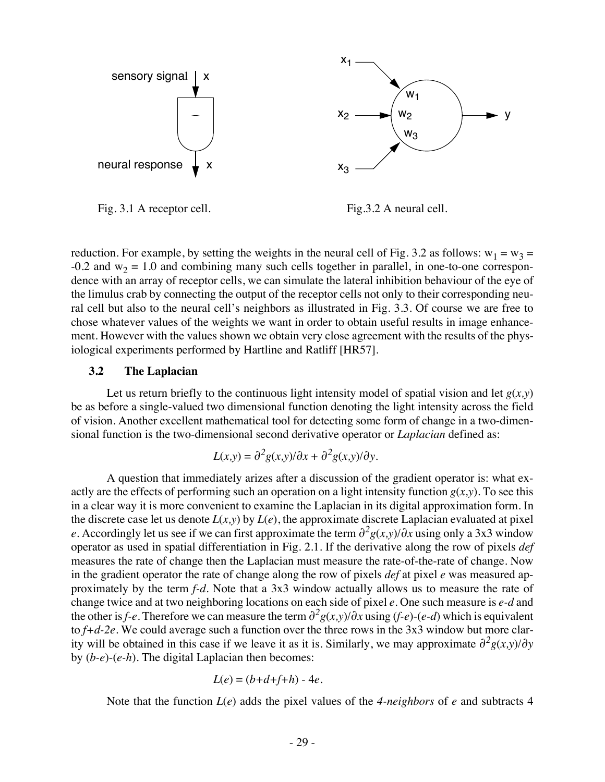

Fig. 3.1 A receptor cell.

Fig.3.2 A neural cell.

reduction. For example, by setting the weights in the neural cell of Fig. 3.2 as follows:  $w_1 = w_3$  =  $-0.2$  and w<sub>2</sub> = 1.0 and combining many such cells together in parallel, in one-to-one correspondence with an array of receptor cells, we can simulate the lateral inhibition behaviour of the eye of the limulus crab by connecting the output of the receptor cells not only to their corresponding neural cell but also to the neural cell's neighbors as illustrated in Fig. 3.3. Of course we are free to chose whatever values of the weights we want in order to obtain useful results in image enhancement. However with the values shown we obtain very close agreement with the results of the physiological experiments performed by Hartline and Ratliff [HR57].

### **3.2 The Laplacian**

Let us return briefly to the continuous light intensity model of spatial vision and let  $g(x,y)$ be as before a single-valued two dimensional function denoting the light intensity across the field of vision. Another excellent mathematical tool for detecting some form of change in a two-dimensional function is the two-dimensional second derivative operator or *Laplacian* defined as:

$$
L(x,y) = \partial^2 g(x,y) / \partial x + \partial^2 g(x,y) / \partial y.
$$

A question that immediately arizes after a discussion of the gradient operator is: what exactly are the effects of performing such an operation on a light intensity function  $g(x,y)$ . To see this in a clear way it is more convenient to examine the Laplacian in its digital approximation form. In the discrete case let us denote  $L(x, y)$  by  $L(e)$ , the approximate discrete Laplacian evaluated at pixel *e*. Accordingly let us see if we can first approximate the term  $\frac{\partial^2 g(x,y)}{\partial x}$  using only a 3x3 window operator as used in spatial differentiation in Fig. 2.1. If the derivative along the row of pixels *def* measures the rate of change then the Laplacian must measure the rate-of-the-rate of change. Now in the gradient operator the rate of change along the row of pixels *def* at pixel *e* was measured approximately by the term *f-d*. Note that a 3x3 window actually allows us to measure the rate of change twice and at two neighboring locations on each side of pixel *e*. One such measure is *e-d* and the other is *f-e*. Therefore we can measure the term  $\partial^2 g(x, y) / \partial x$  using (*f-e*)-(*e-d*) which is equivalent to *f+d-2e.* We could average such a function over the three rows in the 3x3 window but more clarity will be obtained in this case if we leave it as it is. Similarly, we may approximate  $\partial^2 g(x,y)/\partial y$ by (*b-e*)-(*e-h*). The digital Laplacian then becomes:

$$
L(e) = (b+d+f+h) - 4e.
$$

Note that the function *L*(*e*) adds the pixel values of the *4-neighbors* of *e* and subtracts 4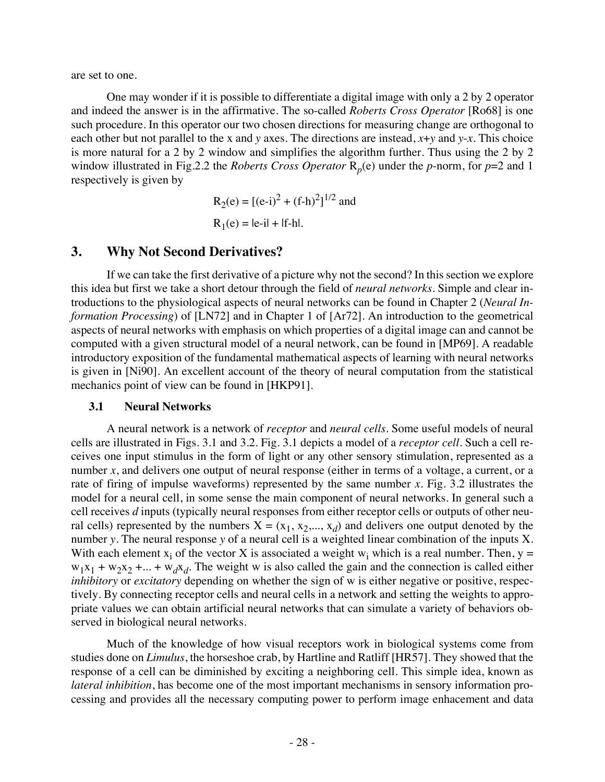are set to one.

One may wonder if it is possible to differentiate a digital image with only a 2 by 2 operator and indeed the answer is in the affirmative. The so-called *Roberts Cross Operator* [Ro68] is one such procedure. In this operator our two chosen directions for measuring change are orthogonal to each other but not parallel to the x and *y* axes. The directions are instead, *x*+*y* and *y*-*x*. This choice is more natural for a 2 by 2 window and simplifies the algorithm further. Thus using the 2 by 2 window illustrated in Fig.2.2 the *Roberts Cross Operator* R*p*(e) under the *p*-norm, for *p*=2 and 1 respectively is given by

$$
R_2(e) = [(e-i)^2 + (f-h)^2]^{1/2}
$$
 and  

$$
R_1(e) = |e-i| + |f-h|.
$$

## **3. Why Not Second Derivatives?**

If we can take the first derivative of a picture why not the second? In this section we explore this idea but first we take a short detour through the field of *neural networks*. Simple and clear introductions to the physiological aspects of neural networks can be found in Chapter 2 (*Neural Information Processing*) of [LN72] and in Chapter 1 of [Ar72]. An introduction to the geometrical aspects of neural networks with emphasis on which properties of a digital image can and cannot be computed with a given structural model of a neural network, can be found in [MP69]. A readable introductory exposition of the fundamental mathematical aspects of learning with neural networks is given in [Ni90]. An excellent account of the theory of neural computation from the statistical mechanics point of view can be found in [HKP91].

### **3.1 Neural Networks**

A neural network is a network of *receptor* and *neural cells*. Some useful models of neural cells are illustrated in Figs. 3.1 and 3.2. Fig. 3.1 depicts a model of a *receptor cell*. Such a cell receives one input stimulus in the form of light or any other sensory stimulation, represented as a number *x*, and delivers one output of neural response (either in terms of a voltage, a current, or a rate of firing of impulse waveforms) represented by the same number *x*. Fig. 3.2 illustrates the model for a neural cell, in some sense the main component of neural networks. In general such a cell receives *d* inputs (typically neural responses from either receptor cells or outputs of other neural cells) represented by the numbers  $X = (x_1, x_2,..., x_d)$  and delivers one output denoted by the number *y*. The neural response *y* of a neural cell is a weighted linear combination of the inputs X. With each element  $x_i$  of the vector X is associated a weight  $w_i$  which is a real number. Then,  $y =$  $w_1x_1 + w_2x_2 + ... + w_dx_d$ . The weight w is also called the gain and the connection is called either *inhibitory* or *excitatory* depending on whether the sign of w is either negative or positive, respectively. By connecting receptor cells and neural cells in a network and setting the weights to appropriate values we can obtain artificial neural networks that can simulate a variety of behaviors observed in biological neural networks.

Much of the knowledge of how visual receptors work in biological systems come from studies done on *Limulus*, the horseshoe crab, by Hartline and Ratliff [HR57]. They showed that the response of a cell can be diminished by exciting a neighboring cell. This simple idea, known as *lateral inhibition*, has become one of the most important mechanisms in sensory information processing and provides all the necessary computing power to perform image enhacement and data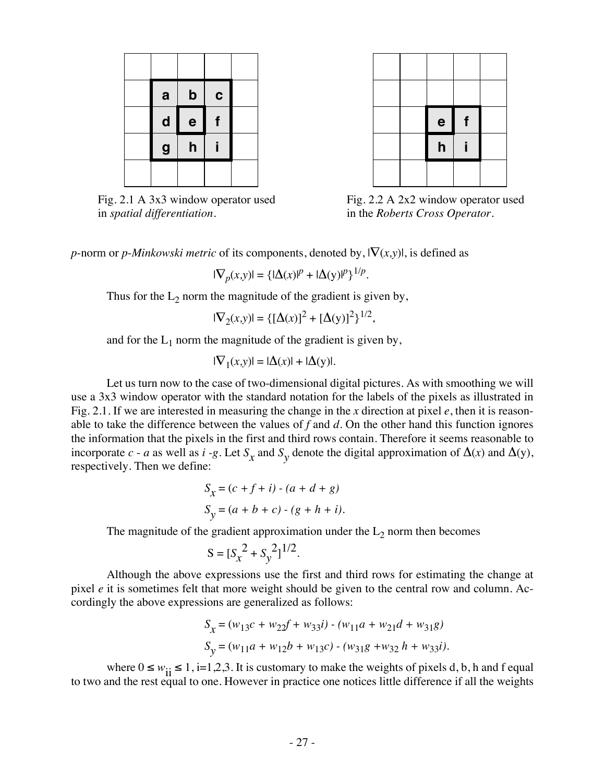

Fig. 2.1 A 3x3 window operator used in *spatial differentiation.*



Fig. 2.2 A 2x2 window operator used in the *Roberts Cross Operator*.

*p*-norm or *p*-*Minkowski metric* of its components, denoted by,  $|\nabla(x,y)|$ , is defined as

$$
|\nabla_p(x,y)| = {\{|\Delta(x)|^p + |\Delta(y)|^p\}}^{1/p}.
$$

Thus for the  $L_2$  norm the magnitude of the gradient is given by,

$$
|\nabla_2(x,y)| = \{ [\Delta(x)]^2 + [\Delta(y)]^2 \}^{1/2},
$$

and for the  $L_1$  norm the magnitude of the gradient is given by,

$$
|\nabla_1(x,y)| = |\Delta(x)| + |\Delta(y)|.
$$

Let us turn now to the case of two-dimensional digital pictures. As with smoothing we will use a 3x3 window operator with the standard notation for the labels of the pixels as illustrated in Fig. 2.1. If we are interested in measuring the change in the *x* direction at pixel *e*, then it is reasonable to take the difference between the values of *f* and *d*. On the other hand this function ignores the information that the pixels in the first and third rows contain. Therefore it seems reasonable to incorporate *c* - *a* as well as *i* -*g*. Let  $S_x$  and  $S_y$  denote the digital approximation of  $\Delta(x)$  and  $\Delta(y)$ , respectively. Then we define:

$$
S_{x} = (c + f + i) - (a + d + g)
$$
  
\n
$$
S_{y} = (a + b + c) - (g + h + i).
$$

The magnitude of the gradient approximation under the  $L_2$  norm then becomes

$$
S = [S_x^2 + S_y^2]^{1/2}.
$$

Although the above expressions use the first and third rows for estimating the change at pixel *e* it is sometimes felt that more weight should be given to the central row and column. Accordingly the above expressions are generalized as follows:

$$
S_{\chi} = (w_{13}c + w_{22}f + w_{33}i) - (w_{11}a + w_{21}d + w_{31}g)
$$
  

$$
S_{\chi} = (w_{11}a + w_{12}b + w_{13}c) - (w_{31}g + w_{32}h + w_{33}i).
$$

where  $0 \le w_{ii} \le 1$ , i=1,2,3. It is customary to make the weights of pixels d, b, h and f equal to two and the rest equal to one. However in practice one notices little difference if all the weights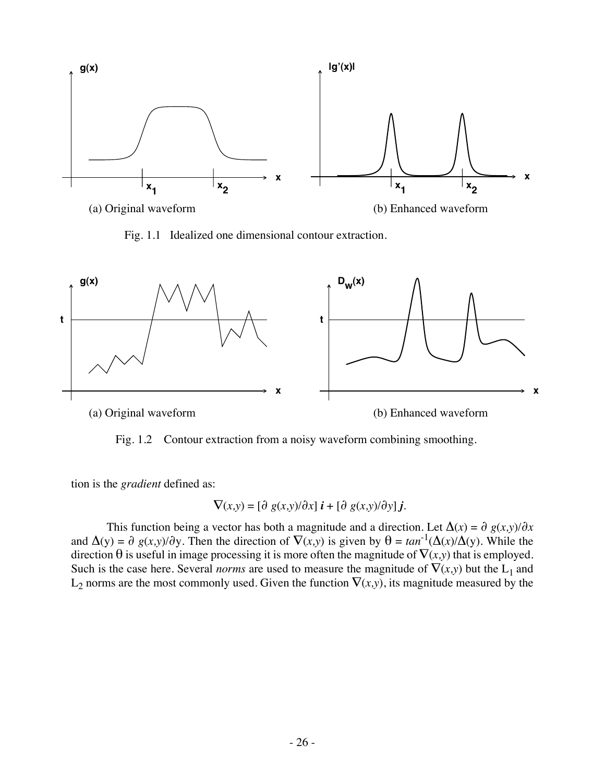

Fig. 1.1 Idealized one dimensional contour extraction.



Fig. 1.2 Contour extraction from a noisy waveform combining smoothing.

tion is the *gradient* defined as:

$$
\nabla(x,y)=[\partial~g(x,y)/\partial x]~i+[\partial~g(x,y)/\partial y]~j.
$$

This function being a vector has both a magnitude and a direction. Let  $\Delta(x) = \partial g(x, y)/\partial x$ and  $\Delta(y) = \partial g(x,y)/\partial y$ . Then the direction of  $\nabla(x,y)$  is given by  $\theta = \tan^{-1}(\Delta(x)/\Delta(y))$ . While the direction  $\theta$  is useful in image processing it is more often the magnitude of  $\nabla(x,y)$  that is employed. Such is the case here. Several *norms* are used to measure the magnitude of  $\nabla(x,y)$  but the L<sub>1</sub> and  $L_2$  norms are the most commonly used. Given the function  $\nabla(x,y)$ , its magnitude measured by the